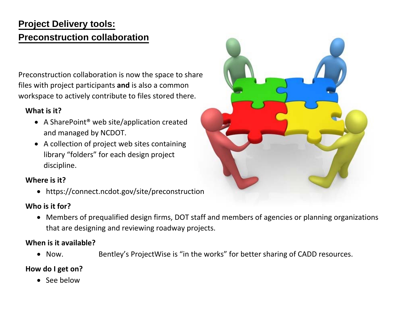# **Project Delivery tools: Preconstruction collaboration**

Preconstruction collaboration is now the space to share files with project participants **and** is also <sup>a</sup> common workspace to actively contribute to files stored there.

### **What is it?**

- A SharePoint® web site/application created and managed by NCDOT.
- A collection of project web sites containing library "folders" for each design project discipline.

### **Where is it?**

https://connect.ncdot.gov/site/preconstruction

## **Who is it for?**

 Members of prequalified design firms, DOT staff and members of agencies or planning organizations that are designing and reviewing roadway projects.

#### **When is it available?**

 $\bullet$  Now. Bentley's ProjectWise is "in the works" for better sharing of CADD resources.

### **How do I get on?**

• See below